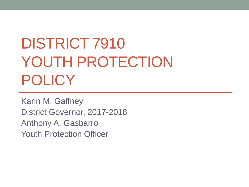# DISTRICT 7910 YOUTH PROTECTION POLICY

Karin M. Gaffney District Governor, 2017-2018 Anthony A. Gasbarro Youth Protection Officer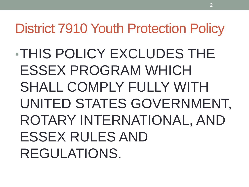•THIS POLICY EXCLUDES THE ESSEX PROGRAM WHICH SHALL COMPLY FULLY WITH UNITED STATES GOVERNMENT, ROTARY INTERNATIONAL, AND ESSEX RULES AND REGULATIONS.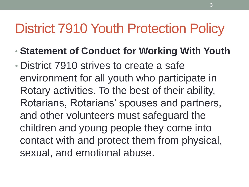- **Statement of Conduct for Working With Youth**
- District 7910 strives to create a safe environment for all youth who participate in Rotary activities. To the best of their ability, Rotarians, Rotarians' spouses and partners, and other volunteers must safeguard the children and young people they come into contact with and protect them from physical, sexual, and emotional abuse.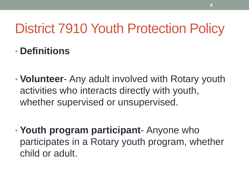#### • **Definitions**

- **Volunteer** Any adult involved with Rotary youth activities who interacts directly with youth, whether supervised or unsupervised.
- **Youth program participant** Anyone who participates in a Rotary youth program, whether child or adult.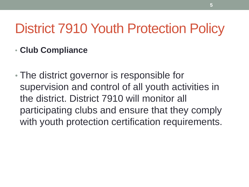#### • **Club Compliance**

• The district governor is responsible for supervision and control of all youth activities in the district. District 7910 will monitor all participating clubs and ensure that they comply with youth protection certification requirements.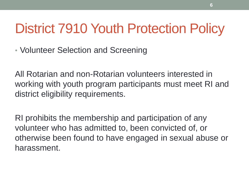• Volunteer Selection and Screening

All Rotarian and non-Rotarian volunteers interested in working with youth program participants must meet RI and district eligibility requirements.

RI prohibits the membership and participation of any volunteer who has admitted to, been convicted of, or otherwise been found to have engaged in sexual abuse or harassment.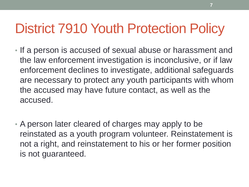- If a person is accused of sexual abuse or harassment and the law enforcement investigation is inconclusive, or if law enforcement declines to investigate, additional safeguards are necessary to protect any youth participants with whom the accused may have future contact, as well as the accused.
- A person later cleared of charges may apply to be reinstated as a youth program volunteer. Reinstatement is not a right, and reinstatement to his or her former position is not guaranteed.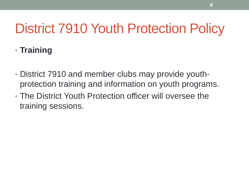#### • **Training**

- District 7910 and member clubs may provide youthprotection training and information on youth programs.
- The District Youth Protection officer will oversee the training sessions.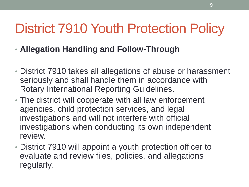- **Allegation Handling and Follow-Through**
- District 7910 takes all allegations of abuse or harassment seriously and shall handle them in accordance with Rotary International Reporting Guidelines.
- The district will cooperate with all law enforcement agencies, child protection services, and legal investigations and will not interfere with official investigations when conducting its own independent review.
- District 7910 will appoint a youth protection officer to evaluate and review files, policies, and allegations regularly.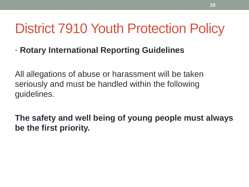• **Rotary International Reporting Guidelines**

All allegations of abuse or harassment will be taken seriously and must be handled within the following guidelines.

**The safety and well being of young people must always be the first priority.**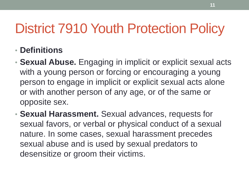- **Definitions**
- **Sexual Abuse.** Engaging in implicit or explicit sexual acts with a young person or forcing or encouraging a young person to engage in implicit or explicit sexual acts alone or with another person of any age, or of the same or opposite sex.
- **Sexual Harassment.** Sexual advances, requests for sexual favors, or verbal or physical conduct of a sexual nature. In some cases, sexual harassment precedes sexual abuse and is used by sexual predators to desensitize or groom their victims.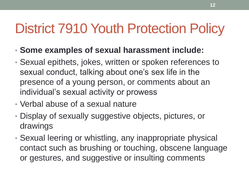- **Some examples of sexual harassment include:**
- Sexual epithets, jokes, written or spoken references to sexual conduct, talking about one's sex life in the presence of a young person, or comments about an individual's sexual activity or prowess
- Verbal abuse of a sexual nature
- Display of sexually suggestive objects, pictures, or drawings
- Sexual leering or whistling, any inappropriate physical contact such as brushing or touching, obscene language or gestures, and suggestive or insulting comments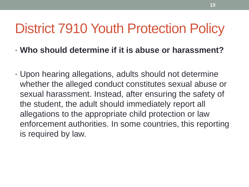- **Who should determine if it is abuse or harassment?**
- Upon hearing allegations, adults should not determine whether the alleged conduct constitutes sexual abuse or sexual harassment. Instead, after ensuring the safety of the student, the adult should immediately report all allegations to the appropriate child protection or law enforcement authorities. In some countries, this reporting is required by law.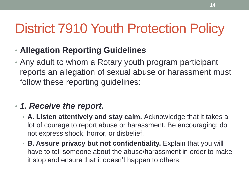- **Allegation Reporting Guidelines**
- Any adult to whom a Rotary youth program participant reports an allegation of sexual abuse or harassment must follow these reporting guidelines:

#### • *1. Receive the report.*

- **A. Listen attentively and stay calm.** Acknowledge that it takes a lot of courage to report abuse or harassment. Be encouraging; do not express shock, horror, or disbelief.
- **B. Assure privacy but not confidentiality.** Explain that you will have to tell someone about the abuse/harassment in order to make it stop and ensure that it doesn't happen to others.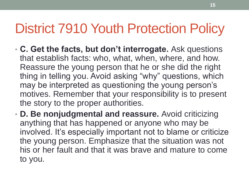- **C. Get the facts, but don't interrogate.** Ask questions that establish facts: who, what, when, where, and how. Reassure the young person that he or she did the right thing in telling you. Avoid asking "why" questions, which may be interpreted as questioning the young person's motives. Remember that your responsibility is to present the story to the proper authorities.
- **D. Be nonjudgmental and reassure.** Avoid criticizing anything that has happened or anyone who may be involved. It's especially important not to blame or criticize the young person. Emphasize that the situation was not his or her fault and that it was brave and mature to come to you.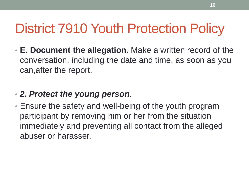• **E. Document the allegation.** Make a written record of the conversation, including the date and time, as soon as you can,after the report.

#### • *2. Protect the young person*.

• Ensure the safety and well-being of the youth program participant by removing him or her from the situation immediately and preventing all contact from the alleged abuser or harasser.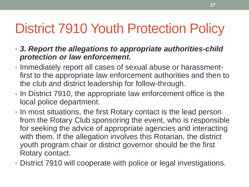- *3. Report the allegations to appropriate authorities-child protection or law enforcement.*
- Immediately report all cases of sexual abuse or harassmentfirst to the appropriate law enforcement authorities and then to the club and district leadership for follow-through.
- In District 7910, the appropriate law enforcement office is the local police department.
- In most situations, the first Rotary contact is the lead person from the Rotary Club sponsoring the event, who is responsible for seeking the advice of appropriate agencies and interacting with them. If the allegation involves this Rotarian, the district youth program chair or district governor should be the first Rotary contact.
- District 7910 will cooperate with police or legal investigations.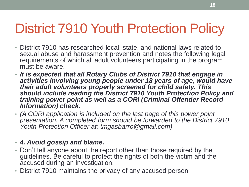- District 7910 has researched local, state, and national laws related to sexual abuse and harassment prevention and notes the following legal requirements of which all adult volunteers participating in the program must be aware.
- *It is expected that all Rotary Clubs of District 7910 that engage in activities involving young people under 18 years of age, would have their adult volunteers properly screened for child safety. This should include reading the District 7910 Youth Protection Policy and training power point as well as a CORI (Criminal Offender Record Information) check.*
- *(A CORI application is included on the last page of this power point presentation. A completed form should be forwarded to the District 7910 Youth Protection Officer at: tmgasbarro@gmail.com)*

#### • *4. Avoid gossip and blame.*

- Don't tell anyone about the report other than those required by the guidelines. Be careful to protect the rights of both the victim and the accused during an investigation.
- District 7910 maintains the privacy of any accused person.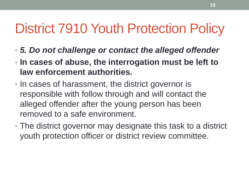- *5. Do not challenge or contact the alleged offender*
- **In cases of abuse, the interrogation must be left to law enforcement authorities.**
- In cases of harassment, the district governor is responsible with follow through and will contact the alleged offender after the young person has been removed to a safe environment.
- The district governor may designate this task to a district youth protection officer or district review committee.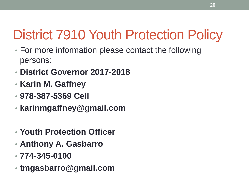- For more information please contact the following persons:
- **District Governor 2017-2018**
- **Karin M. Gaffney**
- **978-387-5369 Cell**
- **karinmgaffney@gmail.com**
- **Youth Protection Officer**
- **Anthony A. Gasbarro**
- **774-345-0100**
- **tmgasbarro@gmail.com**